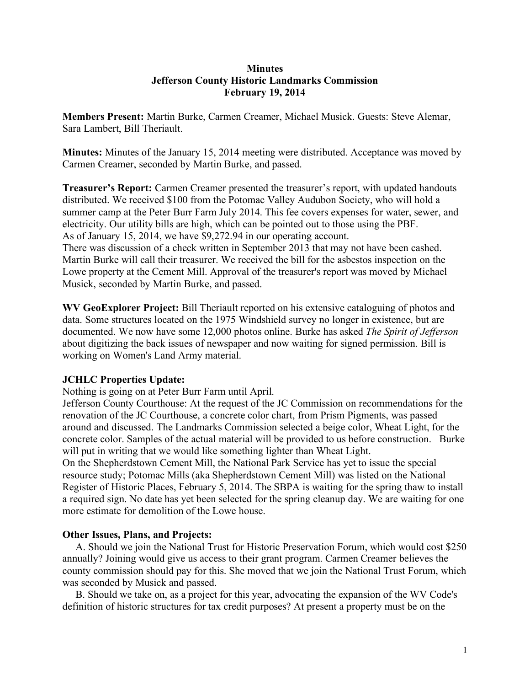## **Minutes Jefferson County Historic Landmarks Commission February 19, 2014**

**Members Present:** Martin Burke, Carmen Creamer, Michael Musick. Guests: Steve Alemar, Sara Lambert, Bill Theriault.

**Minutes:** Minutes of the January 15, 2014 meeting were distributed. Acceptance was moved by Carmen Creamer, seconded by Martin Burke, and passed.

**Treasurer's Report:** Carmen Creamer presented the treasurer's report, with updated handouts distributed. We received \$100 from the Potomac Valley Audubon Society, who will hold a summer camp at the Peter Burr Farm July 2014. This fee covers expenses for water, sewer, and electricity. Our utility bills are high, which can be pointed out to those using the PBF. As of January 15, 2014, we have \$9,272.94 in our operating account.

There was discussion of a check written in September 2013 that may not have been cashed. Martin Burke will call their treasurer. We received the bill for the asbestos inspection on the Lowe property at the Cement Mill. Approval of the treasurer's report was moved by Michael Musick, seconded by Martin Burke, and passed.

**WV GeoExplorer Project:** Bill Theriault reported on his extensive cataloguing of photos and data. Some structures located on the 1975 Windshield survey no longer in existence, but are documented. We now have some 12,000 photos online. Burke has asked *The Spirit of Jefferson* about digitizing the back issues of newspaper and now waiting for signed permission. Bill is working on Women's Land Army material.

## **JCHLC Properties Update:**

Nothing is going on at Peter Burr Farm until April.

Jefferson County Courthouse: At the request of the JC Commission on recommendations for the renovation of the JC Courthouse, a concrete color chart, from Prism Pigments, was passed around and discussed. The Landmarks Commission selected a beige color, Wheat Light, for the concrete color. Samples of the actual material will be provided to us before construction. Burke will put in writing that we would like something lighter than Wheat Light.

On the Shepherdstown Cement Mill, the National Park Service has yet to issue the special resource study; Potomac Mills (aka Shepherdstown Cement Mill) was listed on the National Register of Historic Places, February 5, 2014. The SBPA is waiting for the spring thaw to install a required sign. No date has yet been selected for the spring cleanup day. We are waiting for one more estimate for demolition of the Lowe house.

## **Other Issues, Plans, and Projects:**

 A. Should we join the National Trust for Historic Preservation Forum, which would cost \$250 annually? Joining would give us access to their grant program. Carmen Creamer believes the county commission should pay for this. She moved that we join the National Trust Forum, which was seconded by Musick and passed.

 B. Should we take on, as a project for this year, advocating the expansion of the WV Code's definition of historic structures for tax credit purposes? At present a property must be on the